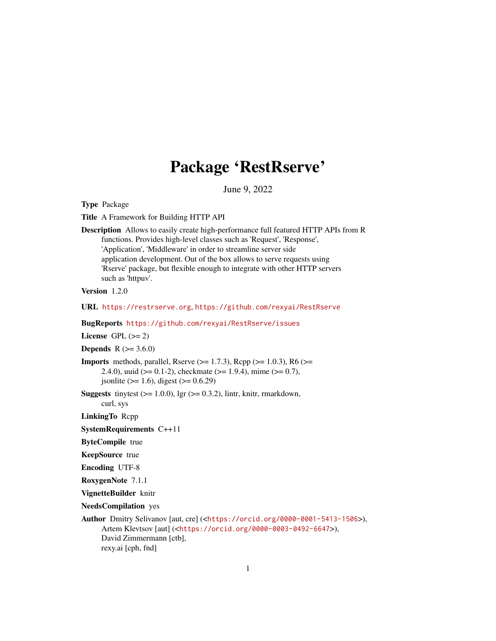# Package 'RestRserve'

June 9, 2022

<span id="page-0-0"></span>Type Package

Title A Framework for Building HTTP API

Description Allows to easily create high-performance full featured HTTP APIs from R functions. Provides high-level classes such as 'Request', 'Response', 'Application', 'Middleware' in order to streamline server side application development. Out of the box allows to serve requests using 'Rserve' package, but flexible enough to integrate with other HTTP servers such as 'httpuv'.

Version 1.2.0

URL <https://restrserve.org>, <https://github.com/rexyai/RestRserve>

BugReports <https://github.com/rexyai/RestRserve/issues>

License GPL  $(>= 2)$ 

```
Depends R (= 3.6.0)
```

```
Imports methods, parallel, Rserve (>= 1.7.3), Rcpp (>= 1.0.3), R6 (>=2.4.0), uuid (> = 0.1-2), checkmate (> = 1.9.4), mime (> = 0.7),
      jsonlite (>= 1.6), digest (>= 0.6.29)
```
**Suggests** tinytest  $(>= 1.0.0)$ , lgr  $(>= 0.3.2)$ , lintr, knitr, rmarkdown, curl, sys

LinkingTo Rcpp

SystemRequirements C++11

ByteCompile true

KeepSource true

Encoding UTF-8

RoxygenNote 7.1.1

VignetteBuilder knitr

NeedsCompilation yes

```
Author Dmitry Selivanov [aut, cre] (<https://orcid.org/0000-0001-5413-1506>),
     Artem Klevtsov [aut] (<https://orcid.org/0000-0003-0492-6647>),
     David Zimmermann [ctb],
     rexy.ai [cph, fnd]
```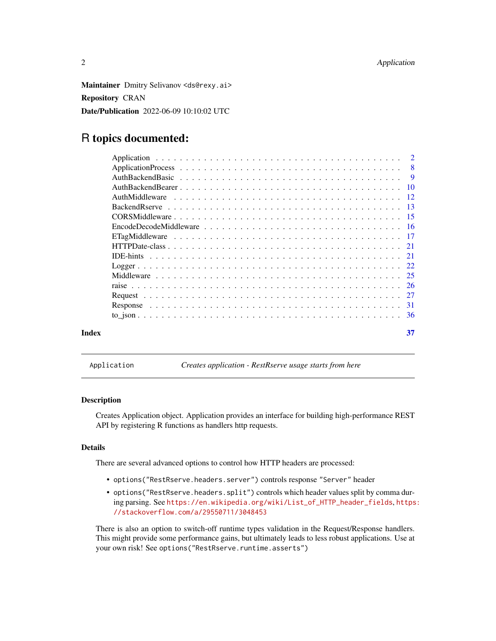<span id="page-1-0"></span>Maintainer Dmitry Selivanov <ds@rexy.ai> Repository CRAN Date/Publication 2022-06-09 10:10:02 UTC

# R topics documented:

| Index | 37 |
|-------|----|
|       |    |

<span id="page-1-1"></span>Application *Creates application - RestRserve usage starts from here*

# Description

Creates Application object. Application provides an interface for building high-performance REST API by registering R functions as handlers http requests.

# **Details**

There are several advanced options to control how HTTP headers are processed:

- options("RestRserve.headers.server") controls response "Server" header
- options("RestRserve.headers.split") controls which header values split by comma during parsing. See [https://en.wikipedia.org/wiki/List\\_of\\_HTTP\\_header\\_fields](https://en.wikipedia.org/wiki/List_of_HTTP_header_fields), [https](https://stackoverflow.com/a/29550711/3048453): [//stackoverflow.com/a/29550711/3048453](https://stackoverflow.com/a/29550711/3048453)

There is also an option to switch-off runtime types validation in the Request/Response handlers. This might provide some performance gains, but ultimately leads to less robust applications. Use at your own risk! See options ("RestRserve.runtime.asserts")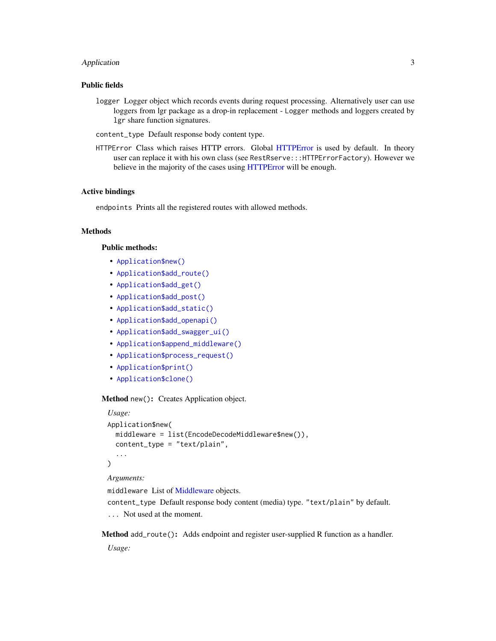# <span id="page-2-2"></span>Application 3

# Public fields

- logger Logger object which records events during request processing. Alternatively user can use loggers from lgr package as a drop-in replacement - Logger methods and loggers created by lgr share function signatures.
- content\_type Default response body content type.
- HTTPError Class which raises HTTP errors. Global [HTTPError](#page-0-0) is used by default. In theory user can replace it with his own class (see RestRserve:::HTTPErrorFactory). However we believe in the majority of the cases using [HTTPError](#page-0-0) will be enough.

#### Active bindings

endpoints Prints all the registered routes with allowed methods.

# Methods

#### Public methods:

- [Application\\$new\(\)](#page-2-0)
- [Application\\$add\\_route\(\)](#page-2-1)
- [Application\\$add\\_get\(\)](#page-3-0)
- [Application\\$add\\_post\(\)](#page-4-0)
- [Application\\$add\\_static\(\)](#page-4-1)
- [Application\\$add\\_openapi\(\)](#page-4-2)
- [Application\\$add\\_swagger\\_ui\(\)](#page-4-3)
- [Application\\$append\\_middleware\(\)](#page-5-0)
- [Application\\$process\\_request\(\)](#page-5-1)
- [Application\\$print\(\)](#page-5-2)
- [Application\\$clone\(\)](#page-5-3)

#### <span id="page-2-0"></span>Method new(): Creates Application object.

```
Usage:
Application$new(
  middleware = list(EncodeDecodeMiddleware$new()),
  content_type = "text/plain",
  ...
\mathcal{L}
```
#### *Arguments:*

middleware List of [Middleware](#page-24-1) objects.

content\_type Default response body content (media) type. "text/plain" by default.

... Not used at the moment.

<span id="page-2-1"></span>Method add\_route(): Adds endpoint and register user-supplied R function as a handler.

*Usage:*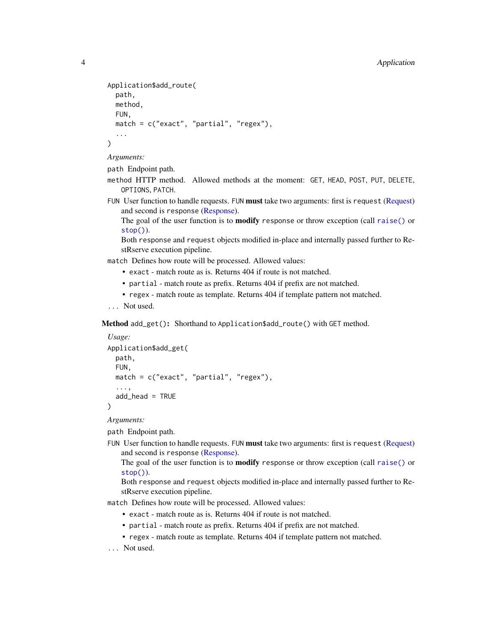```
Application$add_route(
 path,
 method,
  FUN,
  match = c("exact", "partial", "regex"),
  ...
)
```
*Arguments:*

path Endpoint path.

- method HTTP method. Allowed methods at the moment: GET, HEAD, POST, PUT, DELETE, OPTIONS, PATCH.
- FUN User function to handle requests. FUN must take two arguments: first is request [\(Request\)](#page-26-1) and second is response [\(Response\)](#page-30-1).

The goal of the user function is to modify response or throw exception (call [raise\(\)](#page-25-1) or  $stop()$ ).

Both response and request objects modified in-place and internally passed further to RestRserve execution pipeline.

match Defines how route will be processed. Allowed values:

- exact match route as is. Returns 404 if route is not matched.
- partial match route as prefix. Returns 404 if prefix are not matched.

• regex - match route as template. Returns 404 if template pattern not matched.

```
... Not used.
```
<span id="page-3-0"></span>Method add\_get(): Shorthand to Application\$add\_route() with GET method.

```
Usage:
Application$add_get(
 path,
  FUN,
 match = c("exact", "partial", "regex"),
  ...,
  add_head = TRUE
)
```
*Arguments:*

path Endpoint path.

FUN User function to handle requests. FUN must take two arguments: first is request [\(Request\)](#page-26-1) and second is response [\(Response\)](#page-30-1).

The goal of the user function is to modify response or throw exception (call [raise\(\)](#page-25-1) or  $stop()$ ).

Both response and request objects modified in-place and internally passed further to RestRserve execution pipeline.

match Defines how route will be processed. Allowed values:

- exact match route as is. Returns 404 if route is not matched.
- partial match route as prefix. Returns 404 if prefix are not matched.
- regex match route as template. Returns 404 if template pattern not matched.
- ... Not used.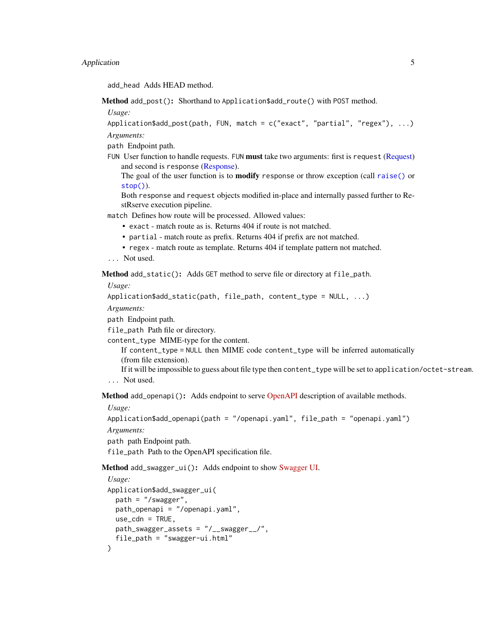<span id="page-4-4"></span>add\_head Adds HEAD method.

<span id="page-4-0"></span>Method add\_post(): Shorthand to Application\$add\_route() with POST method.

*Usage:*

```
Application$add_post(path, FUN, match = c("exact", "partial", "regex"), ...)
```
*Arguments:*

path Endpoint path.

- FUN User function to handle requests. FUN must take two arguments: first is request [\(Request\)](#page-26-1) and second is response [\(Response\)](#page-30-1).
	- The goal of the user function is to modify response or throw exception (call [raise\(\)](#page-25-1) or  $stop()$ ).

Both response and request objects modified in-place and internally passed further to RestRserve execution pipeline.

match Defines how route will be processed. Allowed values:

- exact match route as is. Returns 404 if route is not matched.
- partial match route as prefix. Returns 404 if prefix are not matched.
- regex match route as template. Returns 404 if template pattern not matched.

```
... Not used.
```
<span id="page-4-1"></span>Method add\_static(): Adds GET method to serve file or directory at file\_path.

*Usage:*

```
Application$add_static(path, file_path, content_type = NULL, ...)
```
*Arguments:*

path Endpoint path.

file\_path Path file or directory.

content\_type MIME-type for the content.

If content\_type = NULL then MIME code content\_type will be inferred automatically (from file extension).

If it will be impossible to guess about file type then content\_type will be set to application/octet-stream.

```
... Not used.
```
<span id="page-4-2"></span>Method add\_openapi(): Adds endpoint to serve [OpenAPI](https://www.openapis.org/) description of available methods.

*Usage:*

```
Application$add_openapi(path = "/openapi.yaml", file_path = "openapi.yaml")
```
*Arguments:*

```
path path Endpoint path.
```
file\_path Path to the OpenAPI specification file.

<span id="page-4-3"></span>Method add\_swagger\_ui(): Adds endpoint to show [Swagger UI.](https://swagger.io/tools/swagger-ui/)

```
Usage:
Application$add_swagger_ui(
 path = "/swagger",
 path_openapi = "/openapi.yaml",
 use\_cdn = TRUE,
 path_swagger_assets = "/__swagger__/",
  file_path = "swagger-ui.html"
)
```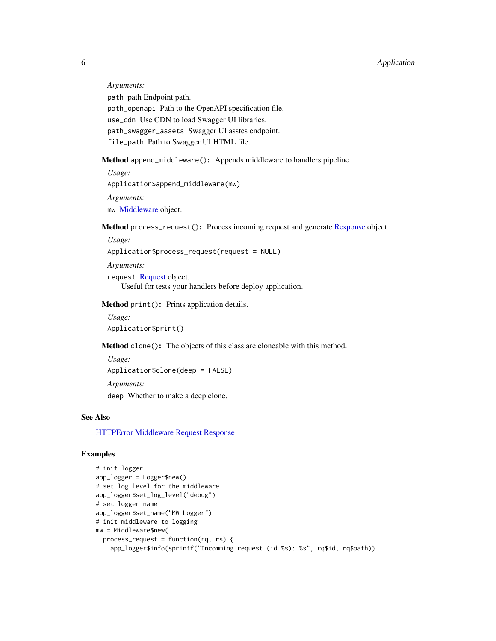*Arguments:*

path path Endpoint path. path\_openapi Path to the OpenAPI specification file. use\_cdn Use CDN to load Swagger UI libraries. path\_swagger\_assets Swagger UI asstes endpoint. file\_path Path to Swagger UI HTML file.

<span id="page-5-0"></span>Method append\_middleware(): Appends middleware to handlers pipeline.

*Usage:* Application\$append\_middleware(mw) *Arguments:* mw [Middleware](#page-24-1) object.

<span id="page-5-1"></span>Method process\_request(): Process incoming request and generate [Response](#page-30-1) object.

*Usage:*

Application\$process\_request(request = NULL)

*Arguments:*

request [Request](#page-26-1) object. Useful for tests your handlers before deploy application.

<span id="page-5-2"></span>Method print(): Prints application details.

*Usage:* Application\$print()

<span id="page-5-3"></span>Method clone(): The objects of this class are cloneable with this method.

*Usage:* Application\$clone(deep = FALSE) *Arguments:* deep Whether to make a deep clone.

See Also

[HTTPError](#page-0-0) [Middleware](#page-24-1) [Request](#page-26-1) [Response](#page-30-1)

# Examples

```
# init logger
app_logger = Logger$new()
# set log level for the middleware
app_logger$set_log_level("debug")
# set logger name
app_logger$set_name("MW Logger")
# init middleware to logging
mw = Middleware$new(
  process_request = function(rq, rs) {
    app_logger$info(sprintf("Incomming request (id %s): %s", rq$id, rq$path))
```
<span id="page-5-4"></span>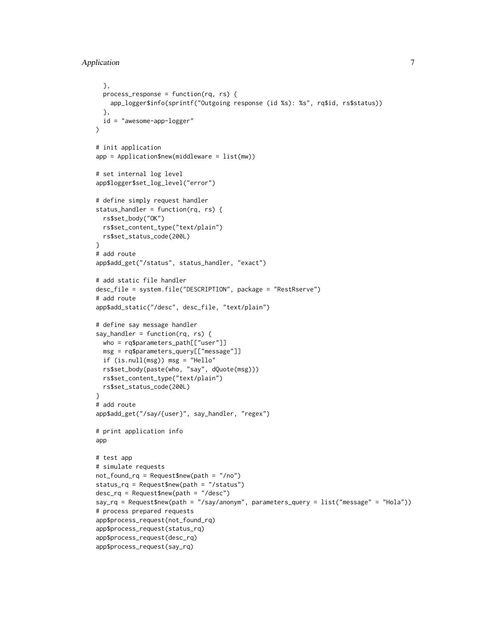```
},
 process_response = function(rq, rs) {
   app_logger$info(sprintf("Outgoing response (id %s): %s", rq$id, rs$status))
 },
 id = "awesome-app-logger"
)
# init application
app = Application$new(middleware = list(mw))# set internal log level
app$logger$set_log_level("error")
# define simply request handler
status_handler = function(rq, rs) {
 rs$set_body("OK")
 rs$set_content_type("text/plain")
 rs$set_status_code(200L)
}
# add route
app$add_get("/status", status_handler, "exact")
# add static file handler
desc_file = system.file("DESCRIPTION", package = "RestRserve")
# add route
app$add_static("/desc", desc_file, "text/plain")
# define say message handler
say_handler = function(rq, rs) {
 who = rq$parameters_path[["user"]]
 msg = rq$parameters_query[["message"]]
 if (is.null(msg)) msg = "Hello"
 rs$set_body(paste(who, "say", dQuote(msg)))
 rs$set_content_type("text/plain")
 rs$set_status_code(200L)
}
# add route
app$add_get("/say/{user}", say_handler, "regex")
# print application info
app
# test app
# simulate requests
not_found_rq = Request$new(path = "/no")
status_rq = Request$new(path = "/status")
desc_rq = Request$new(path = "/desc")
say_rq = Request$new(path = "/say/anonym", parameters_query = list("message" = "Hola"))
# process prepared requests
app$process_request(not_found_rq)
app$process_request(status_rq)
app$process_request(desc_rq)
app$process_request(say_rq)
```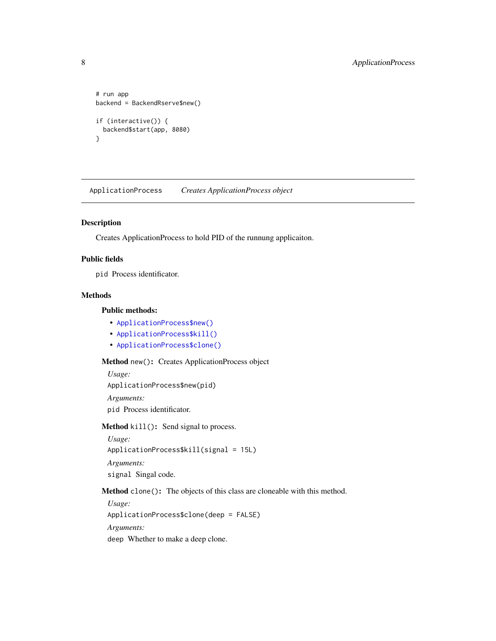```
# run app
backend = BackendRserve$new()
if (interactive()) {
  backend$start(app, 8080)
}
```
<span id="page-7-2"></span>ApplicationProcess *Creates ApplicationProcess object*

# Description

Creates ApplicationProcess to hold PID of the runnung applicaiton.

# Public fields

pid Process identificator.

# Methods

# Public methods:

- [ApplicationProcess\\$new\(\)](#page-2-0)
- [ApplicationProcess\\$kill\(\)](#page-7-1)
- [ApplicationProcess\\$clone\(\)](#page-5-3)

Method new(): Creates ApplicationProcess object

*Usage:* ApplicationProcess\$new(pid) *Arguments:* pid Process identificator.

# <span id="page-7-1"></span>Method kill(): Send signal to process.

```
Usage:
ApplicationProcess$kill(signal = 15L)
Arguments:
signal Singal code.
```
Method clone(): The objects of this class are cloneable with this method.

*Usage:*

ApplicationProcess\$clone(deep = FALSE)

*Arguments:*

deep Whether to make a deep clone.

<span id="page-7-0"></span>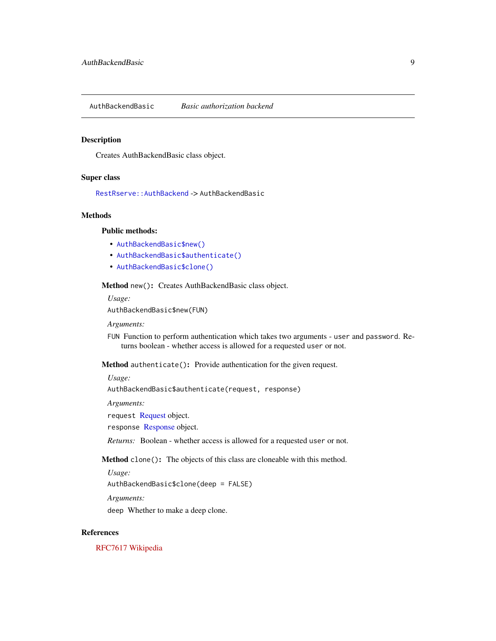<span id="page-8-2"></span><span id="page-8-0"></span>AuthBackendBasic *Basic authorization backend*

#### Description

Creates AuthBackendBasic class object.

# Super class

[RestRserve::AuthBackend](#page-0-0) -> AuthBackendBasic

# Methods

#### Public methods:

- [AuthBackendBasic\\$new\(\)](#page-2-0)
- [AuthBackendBasic\\$authenticate\(\)](#page-8-1)
- [AuthBackendBasic\\$clone\(\)](#page-5-3)

Method new(): Creates AuthBackendBasic class object.

*Usage:*

AuthBackendBasic\$new(FUN)

*Arguments:*

FUN Function to perform authentication which takes two arguments - user and password. Returns boolean - whether access is allowed for a requested user or not.

<span id="page-8-1"></span>Method authenticate(): Provide authentication for the given request.

*Usage:*

AuthBackendBasic\$authenticate(request, response)

*Arguments:*

request [Request](#page-26-1) object.

response [Response](#page-30-1) object.

*Returns:* Boolean - whether access is allowed for a requested user or not.

Method clone(): The objects of this class are cloneable with this method.

*Usage:*

AuthBackendBasic\$clone(deep = FALSE)

*Arguments:*

deep Whether to make a deep clone.

# References

[RFC7617](https://tools.ietf.org/html/rfc7617) [Wikipedia](https://en.wikipedia.org/wiki/Basic_access_authentication)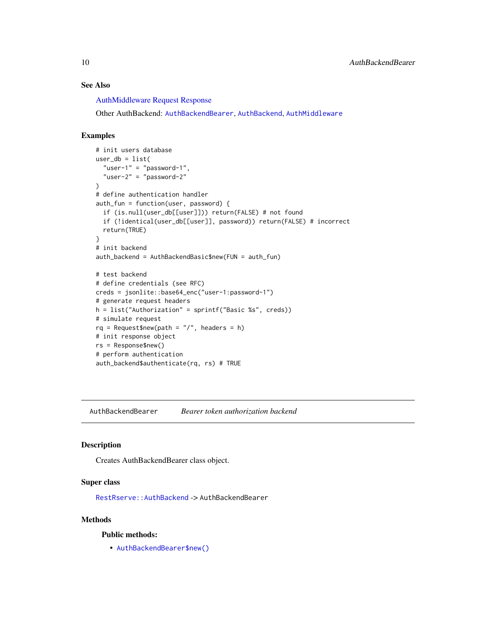# <span id="page-9-0"></span>See Also

[AuthMiddleware](#page-11-1) [Request](#page-26-1) [Response](#page-30-1)

Other AuthBackend: [AuthBackendBearer](#page-9-1), [AuthBackend](#page-0-0), [AuthMiddleware](#page-11-1)

#### Examples

```
# init users database
user_db = list("user-1" = "password-1",
  "user-2" = "password-2"
)
# define authentication handler
auth_fun = function(user, password) {
  if (is.null(user_db[[user]])) return(FALSE) # not found
  if (!identical(user_db[[user]], password)) return(FALSE) # incorrect
  return(TRUE)
}
# init backend
auth_backend = AuthBackendBasic$new(FUN = auth_fun)
# test backend
# define credentials (see RFC)
creds = jsonlite::base64_enc("user-1:password-1")
# generate request headers
h = list("Authorization" = sprintf("Basic %s", creds))
# simulate request
rq = Request$new(path = ''/'', headers = h)# init response object
rs = Response$new()
# perform authentication
auth_backend$authenticate(rq, rs) # TRUE
```
<span id="page-9-1"></span>AuthBackendBearer *Bearer token authorization backend*

# Description

Creates AuthBackendBearer class object.

#### Super class

[RestRserve::AuthBackend](#page-0-0) -> AuthBackendBearer

#### **Methods**

# Public methods:

• [AuthBackendBearer\\$new\(\)](#page-2-0)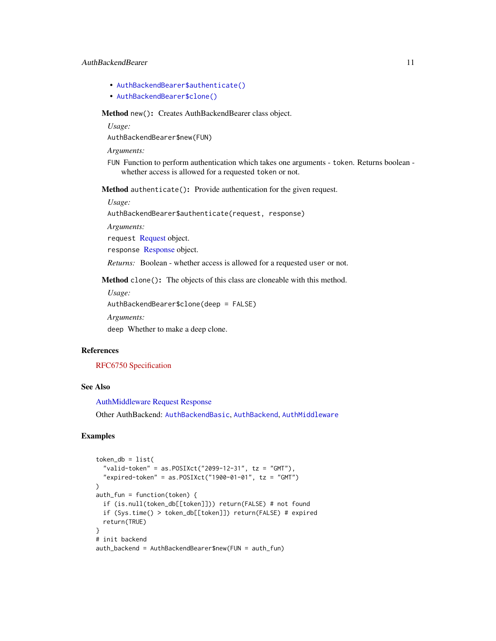# <span id="page-10-0"></span>AuthBackendBearer 11

- [AuthBackendBearer\\$authenticate\(\)](#page-8-1)
- [AuthBackendBearer\\$clone\(\)](#page-5-3)

Method new(): Creates AuthBackendBearer class object.

*Usage:*

AuthBackendBearer\$new(FUN)

*Arguments:*

FUN Function to perform authentication which takes one arguments - token. Returns boolean whether access is allowed for a requested token or not.

Method authenticate(): Provide authentication for the given request.

*Usage:*

AuthBackendBearer\$authenticate(request, response)

*Arguments:*

request [Request](#page-26-1) object.

response [Response](#page-30-1) object.

*Returns:* Boolean - whether access is allowed for a requested user or not.

Method clone(): The objects of this class are cloneable with this method.

```
Usage:
AuthBackendBearer$clone(deep = FALSE)
Arguments:
```
deep Whether to make a deep clone.

#### References

[RFC6750](https://tools.ietf.org/html/rfc6750) [Specification](https://swagger.io/docs/specification/authentication/bearer-authentication/)

# See Also

[AuthMiddleware](#page-11-1) [Request](#page-26-1) [Response](#page-30-1)

Other AuthBackend: [AuthBackendBasic](#page-8-2), [AuthBackend](#page-0-0), [AuthMiddleware](#page-11-1)

# Examples

```
token_db = list("valid-token" = as.POSIXct("2099-12-31", tz = "GMT"),
  "expired-token" = as.POSIXct("1900-01-01", tz = "GMT")
\mathcal{L}auth_fun = function(token) {
 if (is.null(token_db[[token]])) return(FALSE) # not found
 if (Sys.time() > token_db[[token]]) return(FALSE) # expired
 return(TRUE)
}
# init backend
auth_backend = AuthBackendBearer$new(FUN = auth_fun)
```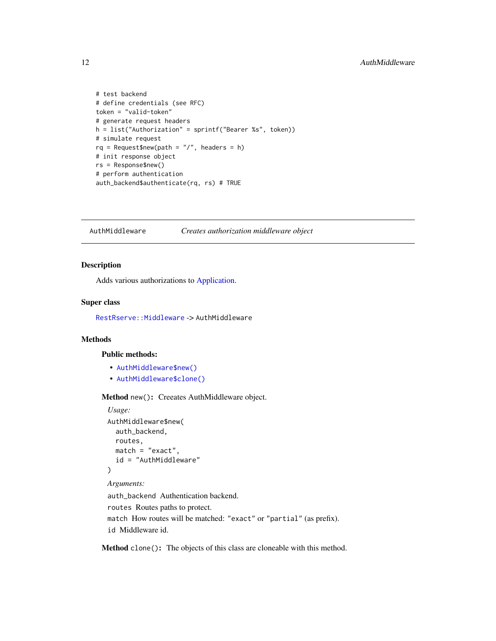```
# test backend
# define credentials (see RFC)
token = "valid-token"
# generate request headers
h = list("Authorization" = sprintf("Bearer %s", token))
# simulate request
rq = Request$new(path = "/", headers = h)# init response object
rs = Response$new()
# perform authentication
auth_backend$authenticate(rq, rs) # TRUE
```
<span id="page-11-1"></span>AuthMiddleware *Creates authorization middleware object*

# Description

Adds various authorizations to [Application.](#page-1-1)

# Super class

[RestRserve::Middleware](#page-0-0) -> AuthMiddleware

# Methods

#### Public methods:

- [AuthMiddleware\\$new\(\)](#page-2-0)
- [AuthMiddleware\\$clone\(\)](#page-5-3)

Method new(): Creeates AuthMiddleware object.

```
Usage:
AuthMiddleware$new(
  auth_backend,
  routes,
  match = "exact",
  id = "AuthMiddleware"
\lambdaArguments:
auth backend Authentication backend.
routes Routes paths to protect.
```
match How routes will be matched: "exact" or "partial" (as prefix). id Middleware id.

Method clone(): The objects of this class are cloneable with this method.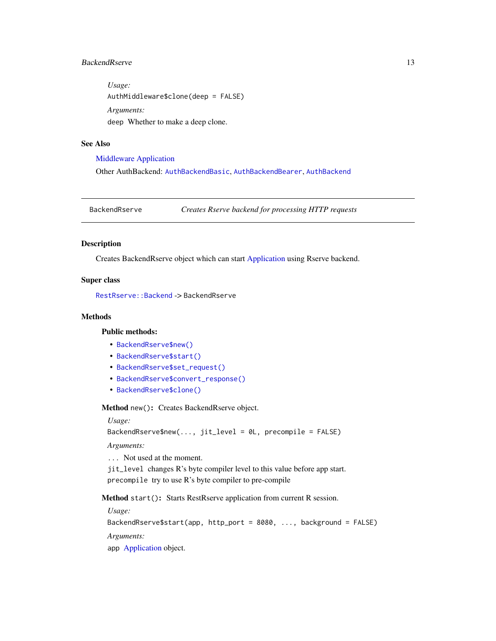# <span id="page-12-0"></span>BackendRserve 13

*Usage:* AuthMiddleware\$clone(deep = FALSE) *Arguments:* deep Whether to make a deep clone.

# See Also

[Middleware](#page-24-1) [Application](#page-1-1) Other AuthBackend: [AuthBackendBasic](#page-8-2), [AuthBackendBearer](#page-9-1), [AuthBackend](#page-0-0)

BackendRserve *Creates Rserve backend for processing HTTP requests*

# Description

Creates BackendRserve object which can start [Application](#page-1-1) using Rserve backend.

# Super class

[RestRserve::Backend](#page-0-0) -> BackendRserve

#### **Methods**

# Public methods:

- [BackendRserve\\$new\(\)](#page-2-0)
- [BackendRserve\\$start\(\)](#page-12-1)
- [BackendRserve\\$set\\_request\(\)](#page-13-0)
- [BackendRserve\\$convert\\_response\(\)](#page-13-1)
- [BackendRserve\\$clone\(\)](#page-5-3)

Method new(): Creates BackendRserve object.

#### *Usage:*

BackendRserve\$new(..., jit\_level = 0L, precompile = FALSE)

*Arguments:*

... Not used at the moment.

jit\_level changes R's byte compiler level to this value before app start. precompile try to use R's byte compiler to pre-compile

<span id="page-12-1"></span>Method start(): Starts RestRserve application from current R session.

*Usage:*

BackendRserve\$start(app, http\_port = 8080, ..., background = FALSE)

*Arguments:*

app [Application](#page-1-1) object.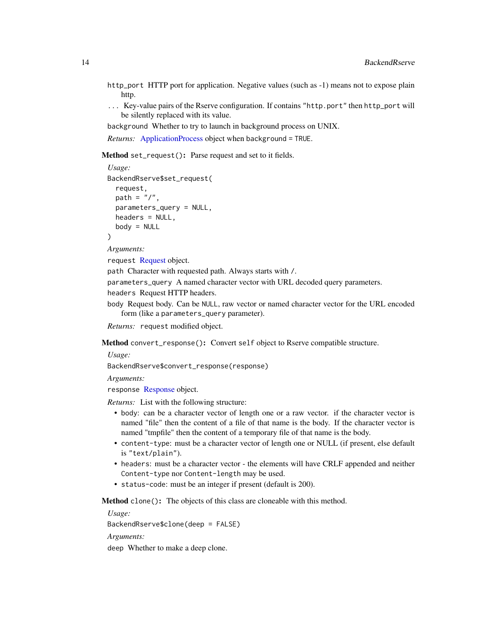- <span id="page-13-2"></span>http\_port HTTP port for application. Negative values (such as -1) means not to expose plain http.
- ... Key-value pairs of the Rserve configuration. If contains "http.port" then http\_port will be silently replaced with its value.

background Whether to try to launch in background process on UNIX.

*Returns:* [ApplicationProcess](#page-7-2) object when background = TRUE.

<span id="page-13-0"></span>Method set\_request(): Parse request and set to it fields.

```
Usage:
BackendRserve$set_request(
  request,
 path = ''/,
 parameters_query = NULL,
  headers = NULL,
 body = NULL
)
```
*Arguments:*

request [Request](#page-26-1) object.

path Character with requested path. Always starts with /.

parameters\_query A named character vector with URL decoded query parameters.

headers Request HTTP headers.

body Request body. Can be NULL, raw vector or named character vector for the URL encoded form (like a parameters\_query parameter).

*Returns:* request modified object.

<span id="page-13-1"></span>Method convert\_response(): Convert self object to Rserve compatible structure.

*Usage:*

BackendRserve\$convert\_response(response)

*Arguments:*

response [Response](#page-30-1) object.

*Returns:* List with the following structure:

- body: can be a character vector of length one or a raw vector. if the character vector is named "file" then the content of a file of that name is the body. If the character vector is named "tmpfile" then the content of a temporary file of that name is the body.
- content-type: must be a character vector of length one or NULL (if present, else default is "text/plain").
- headers: must be a character vector the elements will have CRLF appended and neither Content-type nor Content-length may be used.
- status-code: must be an integer if present (default is 200).

Method clone(): The objects of this class are cloneable with this method.

*Usage:*

BackendRserve\$clone(deep = FALSE)

*Arguments:*

deep Whether to make a deep clone.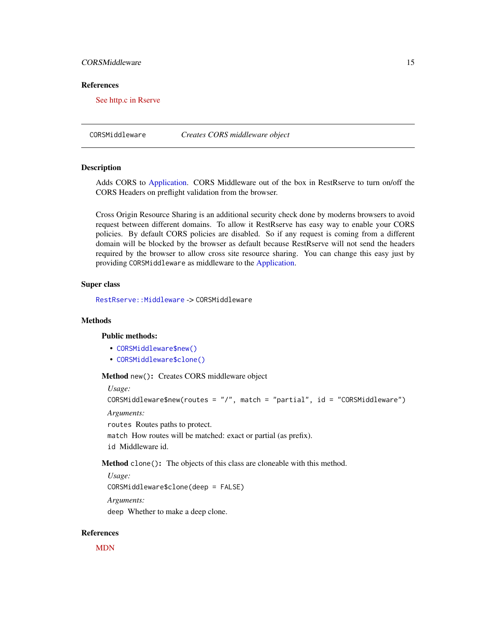# <span id="page-14-0"></span>CORSMiddleware 15

#### References

[See http.c in Rserve](https://github.com/s-u/Rserve/blob/e6b2b6b10e92b6e201d34a05394b2186fda30696/src/http.c#L353-L372)

CORSMiddleware *Creates CORS middleware object*

## **Description**

Adds CORS to [Application.](#page-1-1) CORS Middleware out of the box in RestRserve to turn on/off the CORS Headers on preflight validation from the browser.

Cross Origin Resource Sharing is an additional security check done by moderns browsers to avoid request between different domains. To allow it RestRserve has easy way to enable your CORS policies. By default CORS policies are disabled. So if any request is coming from a different domain will be blocked by the browser as default because RestRserve will not send the headers required by the browser to allow cross site resource sharing. You can change this easy just by providing CORSMiddleware as middleware to the [Application.](#page-1-1)

# Super class

[RestRserve::Middleware](#page-0-0) -> CORSMiddleware

# Methods

#### Public methods:

- [CORSMiddleware\\$new\(\)](#page-2-0)
- [CORSMiddleware\\$clone\(\)](#page-5-3)

Method new(): Creates CORS middleware object

*Usage:*

```
CORSMiddleware$new(routes = "/", match = "partial", id = "CORSMiddleware")
```
*Arguments:*

routes Routes paths to protect.

match How routes will be matched: exact or partial (as prefix).

id Middleware id.

Method clone(): The objects of this class are cloneable with this method.

*Usage:*

CORSMiddleware\$clone(deep = FALSE)

*Arguments:*

deep Whether to make a deep clone.

#### References

[MDN](https://developer.mozilla.org/en/docs/Web/HTTP/CORS)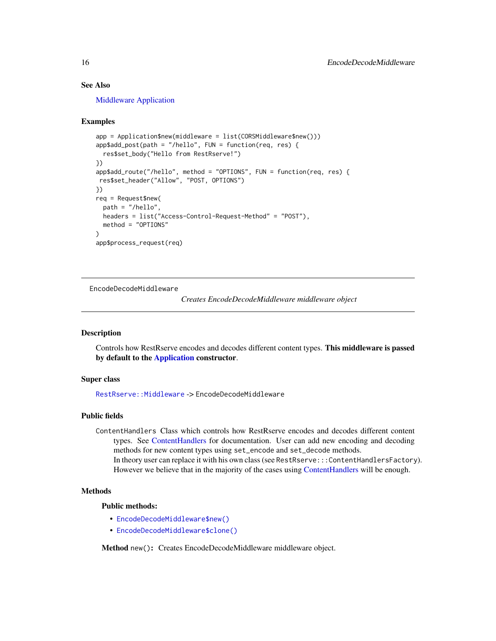## <span id="page-15-0"></span>See Also

[Middleware](#page-24-1) [Application](#page-1-1)

#### Examples

```
app = Application$new(middleware = list(CORSMiddleware$new()))
app$add_post(path = "/hello", FUN = function(req, res) {
 res$set_body("Hello from RestRserve!")
})
app$add_route("/hello", method = "OPTIONS", FUN = function(req, res) {
res$set_header("Allow", "POST, OPTIONS")
})
req = Request$new(
 path = "/hello",
 headers = list("Access-Control-Request-Method" = "POST"),
 method = "OPTIONS"
\lambdaapp$process_request(req)
```
EncodeDecodeMiddleware

*Creates EncodeDecodeMiddleware middleware object*

# Description

Controls how RestRserve encodes and decodes different content types. This middleware is passed by default to the [Application](#page-1-1) constructor.

# Super class

[RestRserve::Middleware](#page-0-0) -> EncodeDecodeMiddleware

# Public fields

ContentHandlers Class which controls how RestRserve encodes and decodes different content types. See [ContentHandlers](#page-0-0) for documentation. User can add new encoding and decoding methods for new content types using set\_encode and set\_decode methods. In theory user can replace it with his own class (see RestRserve:::ContentHandlersFactory). However we believe that in the majority of the cases using [ContentHandlers](#page-0-0) will be enough.

#### **Methods**

#### Public methods:

- [EncodeDecodeMiddleware\\$new\(\)](#page-2-0)
- [EncodeDecodeMiddleware\\$clone\(\)](#page-5-3)

Method new(): Creates EncodeDecodeMiddleware middleware object.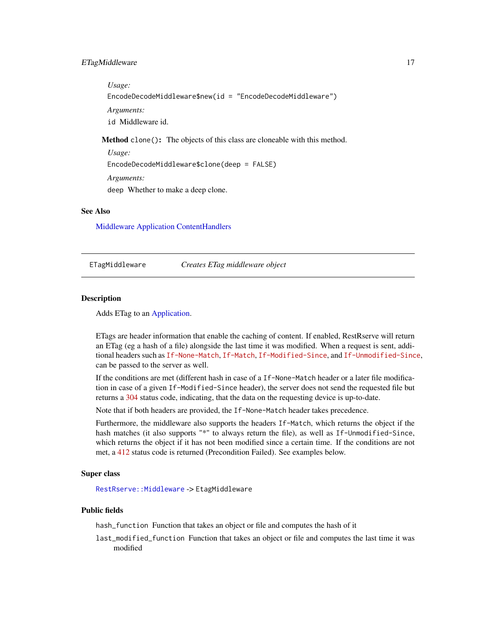# <span id="page-16-0"></span>ETagMiddleware 17

*Usage:*

EncodeDecodeMiddleware\$new(id = "EncodeDecodeMiddleware")

*Arguments:*

id Middleware id.

Method clone(): The objects of this class are cloneable with this method.

*Usage:*

EncodeDecodeMiddleware\$clone(deep = FALSE)

*Arguments:*

deep Whether to make a deep clone.

# See Also

[Middleware](#page-24-1) [Application](#page-1-1) [ContentHandlers](#page-0-0)

ETagMiddleware *Creates ETag middleware object*

#### Description

Adds ETag to an [Application.](#page-1-1)

ETags are header information that enable the caching of content. If enabled, RestRserve will return an ETag (eg a hash of a file) alongside the last time it was modified. When a request is sent, additional headers such as [If-None-Match](https://developer.mozilla.org/en-US/docs/Web/HTTP/Headers/If-None-Match), [If-Match](https://developer.mozilla.org/en-US/docs/Web/HTTP/Headers/If-Match), [If-Modified-Since](https://developer.mozilla.org/en-US/docs/Web/HTTP/Headers/If-Modified-Since), and [If-Unmodified-Since](https://developer.mozilla.org/en-US/docs/Web/HTTP/Headers/If-UnModified-Since), can be passed to the server as well.

If the conditions are met (different hash in case of a If-None-Match header or a later file modification in case of a given If-Modified-Since header), the server does not send the requested file but returns a [304](https://developer.mozilla.org/en-US/docs/Web/HTTP/Status/304) status code, indicating, that the data on the requesting device is up-to-date.

Note that if both headers are provided, the If-None-Match header takes precedence.

Furthermore, the middleware also supports the headers If-Match, which returns the object if the hash matches (it also supports "\*" to always return the file), as well as If-Unmodified-Since, which returns the object if it has not been modified since a certain time. If the conditions are not met, a [412](https://developer.mozilla.org/en-US/docs/Web/HTTP/Status/412) status code is returned (Precondition Failed). See examples below.

#### Super class

[RestRserve::Middleware](#page-0-0) -> EtagMiddleware

# Public fields

hash\_function Function that takes an object or file and computes the hash of it

last\_modified\_function Function that takes an object or file and computes the last time it was modified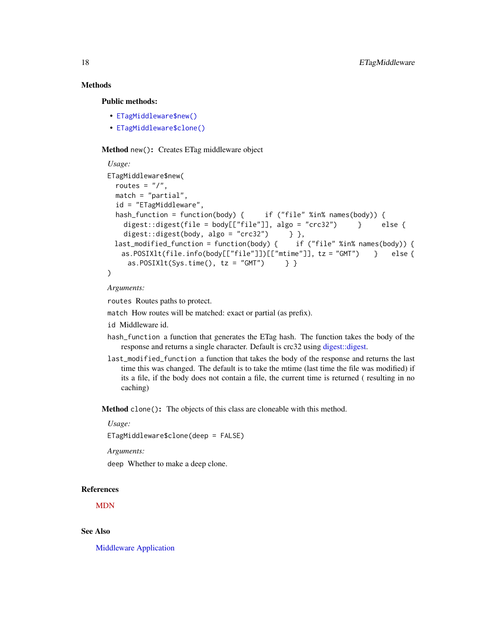# Methods

Public methods:

- [ETagMiddleware\\$new\(\)](#page-2-0)
- [ETagMiddleware\\$clone\(\)](#page-5-3)

Method new(): Creates ETag middleware object

```
Usage:
ETagMiddleware$new(
 routes = \frac{n}{n},
 match = "partial",
  id = "ETagMiddleware",
 hash_function = function(body) { if ("file" %in% names(body)) {
   digest::digest(file = body[["file"]], algo = "crc32") } else {
   digest::digest(body, algo = "crc32") } },
 last_modified_function = function(body) { if ("file" %in% names(body)) {
   as.POSIXlt(file.info(body[["file"]])[["mtime"]], tz = "GMT") } else {
    as.POSIXlt(Sys.time(), tz = "GMT") } }
)
```
#### *Arguments:*

routes Routes paths to protect.

match How routes will be matched: exact or partial (as prefix).

- id Middleware id.
- hash\_function a function that generates the ETag hash. The function takes the body of the response and returns a single character. Default is crc32 using [digest::digest.](#page-0-0)
- last\_modified\_function a function that takes the body of the response and returns the last time this was changed. The default is to take the mtime (last time the file was modified) if its a file, if the body does not contain a file, the current time is returned ( resulting in no caching)

Method clone(): The objects of this class are cloneable with this method.

*Usage:*

ETagMiddleware\$clone(deep = FALSE)

*Arguments:*

deep Whether to make a deep clone.

#### References

[MDN](https://developer.mozilla.org/en/docs/Web/HTTP/Headers/ETag)

#### See Also

[Middleware](#page-24-1) [Application](#page-1-1)

<span id="page-17-0"></span>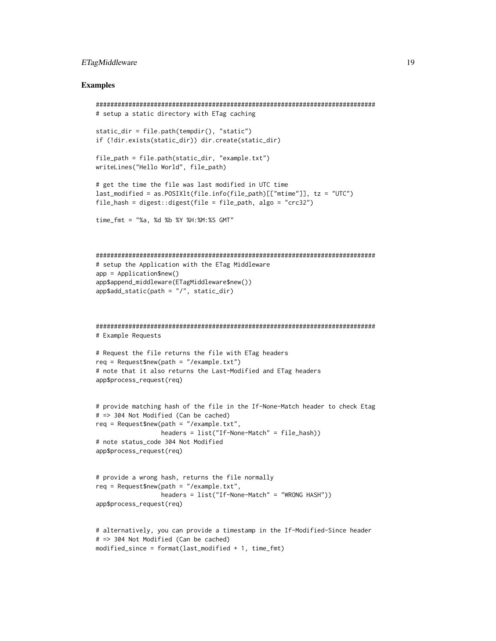# ETagMiddleware 19

#### Examples

```
#############################################################################
# setup a static directory with ETag caching
static_dir = file.path(tempdir(), "static")
if (!dir.exists(static_dir)) dir.create(static_dir)
file_path = file.path(static_dir, "example.txt")
writeLines("Hello World", file_path)
# get the time the file was last modified in UTC time
last_modified = as.POSIXlt(file.info(file_path)[["mtime"]], tz = "UTC")
file_hash = digest::digest(file = file_path, algo = "crc32")
time_fmt = "%a, %d %b %Y %H:%M:%S GMT"
#############################################################################
# setup the Application with the ETag Middleware
app = Application$new()
app$append_middleware(ETagMiddleware$new())
app$add_static(path = "/", static_dir)
#############################################################################
# Example Requests
# Request the file returns the file with ETag headers
req = Request$new(path = "/example.txt")
# note that it also returns the Last-Modified and ETag headers
app$process_request(req)
# provide matching hash of the file in the If-None-Match header to check Etag
# => 304 Not Modified (Can be cached)
req = Request$new(path = "/example.txt",
                  headers = list("If-None-Match" = file_hash))
# note status_code 304 Not Modified
app$process_request(req)
# provide a wrong hash, returns the file normally
req = Request$new(path = "/example.txt",
                  headers = list("If-None-Match" = "WRONG HASH"))
app$process_request(req)
# alternatively, you can provide a timestamp in the If-Modified-Since header
# => 304 Not Modified (Can be cached)
modified_since = format(last_modified + 1, time_fmt)
```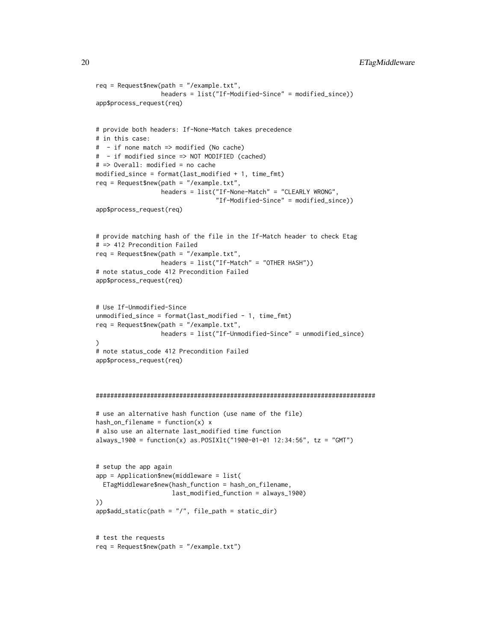```
req = Request$new(path = "/example.txt",
                 headers = list("If-Modified-Since" = modified_since))
app$process_request(req)
# provide both headers: If-None-Match takes precedence
# in this case:
# - if none match => modified (No cache)
# - if modified since => NOT MODIFIED (cached)
# => Overall: modified = no cache
modified_since = format(last_modified + 1, time_fmt)
req = Request$new(path = "/example.txt",
                  headers = list("If-None-Match" = "CLEARLY WRONG",
                                 "If-Modified-Since" = modified_since))
app$process_request(req)
# provide matching hash of the file in the If-Match header to check Etag
# => 412 Precondition Failed
req = Request$new(path = "/example.txt",
                 headers = list("If-Match" = "OTHER HASH"))
# note status_code 412 Precondition Failed
app$process_request(req)
# Use If-Unmodified-Since
unmodified_since = format(last_model - 1, time\_fmt)req = Request$new(path = "/example.txt",
                 headers = list("If-Unmodified-Since" = unmodified_since)
)
# note status_code 412 Precondition Failed
app$process_request(req)
#############################################################################
# use an alternative hash function (use name of the file)
hash\_on\_filename = function(x) x# also use an alternate last_modified time function
always_1900 = function(x) as.POSIXlt("1900-01-01 12:34:56", tz = "GMT")# setup the app again
app = Application$new(middleware = list(
 ETagMiddleware$new(hash_function = hash_on_filename,
                     last_modified_function = always_1900)
))
app$add\_static(path = "/", file\_path = static\_dir)# test the requests
```
req = Request\$new(path = "/example.txt")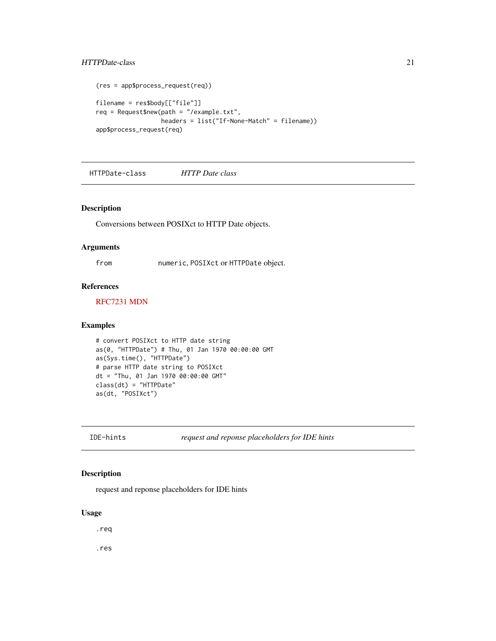# <span id="page-20-0"></span>HTTPDate-class 21

```
(res = app$process_request(req))
filename = res$body[["file"]]
req = Request$new(path = "/example.txt",
                 headers = list("If-None-Match" = filename))
app$process_request(req)
```
HTTPDate-class *HTTP Date class*

# **Description**

Conversions between POSIXct to HTTP Date objects.

#### Arguments

from numeric, POSIXct or HTTPDate object.

# References

[RFC7231](https://tools.ietf.org/html/rfc7231#section-7.1.1.1) [MDN](https://developer.mozilla.org/en-US/docs/Web/HTTP/Headers/Date)

# Examples

```
# convert POSIXct to HTTP date string
as(0, "HTTPDate") # Thu, 01 Jan 1970 00:00:00 GMT
as(Sys.time(), "HTTPDate")
# parse HTTP date string to POSIXct
dt = "Thu, 01 Jan 1970 00:00:00 GMT"
class(dt) = "HTTPDate"
as(dt, "POSIXct")
```
IDE-hints *request and reponse placeholders for IDE hints*

# Description

request and reponse placeholders for IDE hints

# Usage

.req

.res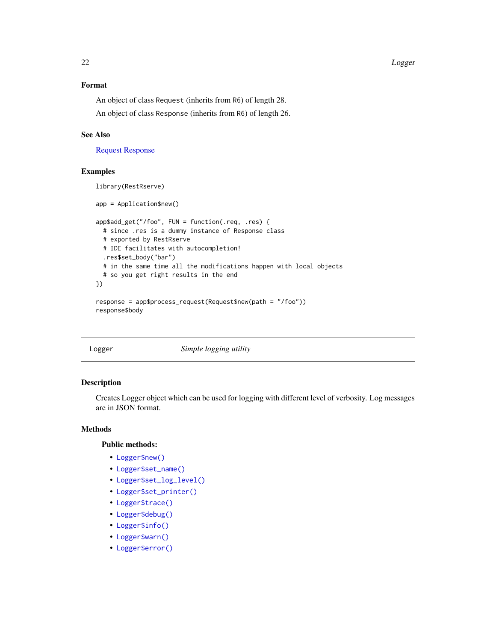#### <span id="page-21-0"></span>22 Logger

# Format

An object of class Request (inherits from R6) of length 28. An object of class Response (inherits from R6) of length 26.

#### See Also

#### [Request](#page-26-1) [Response](#page-30-1)

#### Examples

library(RestRserve)

```
app = Application$new()
app$add_get("/foo", FUN = function(.req, .res) {
 # since .res is a dummy instance of Response class
 # exported by RestRserve
 # IDE facilitates with autocompletion!
 .res$set_body("bar")
 # in the same time all the modifications happen with local objects
 # so you get right results in the end
})
response = app$process_request(Request$new(path = "/foo"))
response$body
```
Logger *Simple logging utility*

# Description

Creates Logger object which can be used for logging with different level of verbosity. Log messages are in JSON format.

#### Methods

# Public methods:

- [Logger\\$new\(\)](#page-2-0)
- [Logger\\$set\\_name\(\)](#page-22-0)
- [Logger\\$set\\_log\\_level\(\)](#page-22-1)
- [Logger\\$set\\_printer\(\)](#page-22-2)
- [Logger\\$trace\(\)](#page-22-3)
- [Logger\\$debug\(\)](#page-22-4)
- [Logger\\$info\(\)](#page-23-0)
- [Logger\\$warn\(\)](#page-23-1)
- [Logger\\$error\(\)](#page-23-2)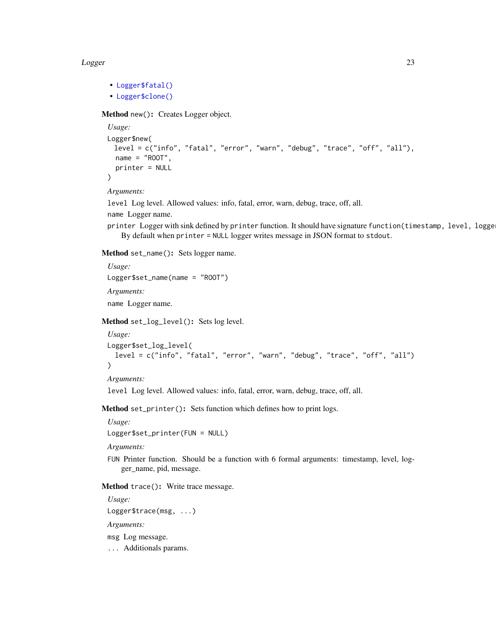#### **Logger** 23

```
• Logger$fatal()
```

```
• Logger$clone()
```
Method new(): Creates Logger object.

```
Usage:
Logger$new(
 level = c("info", "fatal", "error", "warn", "debug", "trace", "off", "all"),
 name = "ROOT".
 printer = NULL
\lambda
```
*Arguments:*

level Log level. Allowed values: info, fatal, error, warn, debug, trace, off, all.

```
name Logger name.
```
printer Logger with sink defined by printer function. It should have signature function(timestamp, level, logge By default when printer = NULL logger writes message in JSON format to stdout.

<span id="page-22-0"></span>Method set\_name(): Sets logger name.

*Usage:* Logger\$set\_name(name = "ROOT") *Arguments:* name Logger name.

<span id="page-22-1"></span>Method set\_log\_level(): Sets log level.

```
Usage:
Logger$set_log_level(
 level = c("info", "fatal", "error", "warn", "debug", "trace", "off", "all")
)
```
*Arguments:*

level Log level. Allowed values: info, fatal, error, warn, debug, trace, off, all.

<span id="page-22-2"></span>Method set\_printer(): Sets function which defines how to print logs.

*Usage:*

Logger\$set\_printer(FUN = NULL)

*Arguments:*

FUN Printer function. Should be a function with 6 formal arguments: timestamp, level, logger\_name, pid, message.

<span id="page-22-3"></span>Method trace(): Write trace message.

```
Usage:
Logger$trace(msg, ...)
Arguments:
```
msg Log message.

<span id="page-22-4"></span>... Additionals params.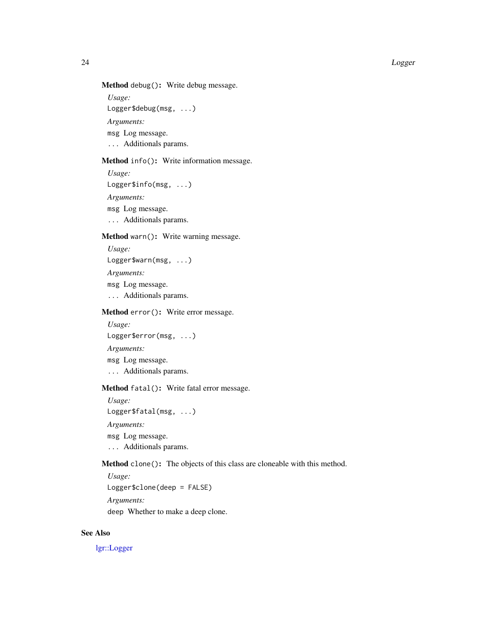# <span id="page-23-4"></span>Method debug(): Write debug message.

```
Usage:
Logger$debug(msg, ...)
Arguments:
msg Log message.
... Additionals params.
```
# <span id="page-23-0"></span>Method info(): Write information message.

```
Usage:
Logger$info(msg, ...)
Arguments:
msg Log message.
... Additionals params.
```
# <span id="page-23-1"></span>Method warn(): Write warning message.

*Usage:* Logger\$warn(msg, ...) *Arguments:* msg Log message. ... Additionals params.

# <span id="page-23-2"></span>Method error(): Write error message.

*Usage:* Logger\$error(msg, ...) *Arguments:* msg Log message. ... Additionals params.

# <span id="page-23-3"></span>Method fatal(): Write fatal error message.

```
Usage:
Logger$fatal(msg, ...)
Arguments:
msg Log message.
... Additionals params.
```
Method clone(): The objects of this class are cloneable with this method.

*Usage:* Logger\$clone(deep = FALSE) *Arguments:* deep Whether to make a deep clone.

# See Also

[lgr::Logger](#page-0-0)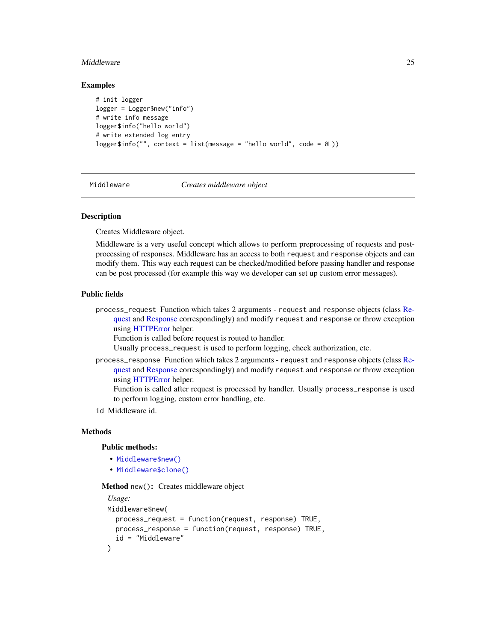#### <span id="page-24-0"></span>Middleware 25

#### Examples

```
# init logger
logger = Logger$new("info")
# write info message
logger$info("hello world")
# write extended log entry
logger$info("", context = list(message = "hello world", code = 0L))
```
<span id="page-24-1"></span>

Middleware *Creates middleware object*

#### Description

Creates Middleware object.

Middleware is a very useful concept which allows to perform preprocessing of requests and postprocessing of responses. Middleware has an access to both request and response objects and can modify them. This way each request can be checked/modified before passing handler and response can be post processed (for example this way we developer can set up custom error messages).

# Public fields

process\_request Function which takes 2 arguments - request and response objects (class [Re](#page-26-1)[quest](#page-26-1) and [Response](#page-30-1) correspondingly) and modify request and response or throw exception using [HTTPError](#page-0-0) helper.

Function is called before request is routed to handler.

Usually process\_request is used to perform logging, check authorization, etc.

process\_response Function which takes 2 arguments - request and response objects (class [Re](#page-26-1)[quest](#page-26-1) and [Response](#page-30-1) correspondingly) and modify request and response or throw exception using [HTTPError](#page-0-0) helper.

Function is called after request is processed by handler. Usually process\_response is used to perform logging, custom error handling, etc.

id Middleware id.

# Methods

Public methods:

- [Middleware\\$new\(\)](#page-2-0)
- [Middleware\\$clone\(\)](#page-5-3)

Method new(): Creates middleware object

```
Usage:
Middleware$new(
  process_request = function(request, response) TRUE,
  process_response = function(request, response) TRUE,
  id = "Middleware"
)
```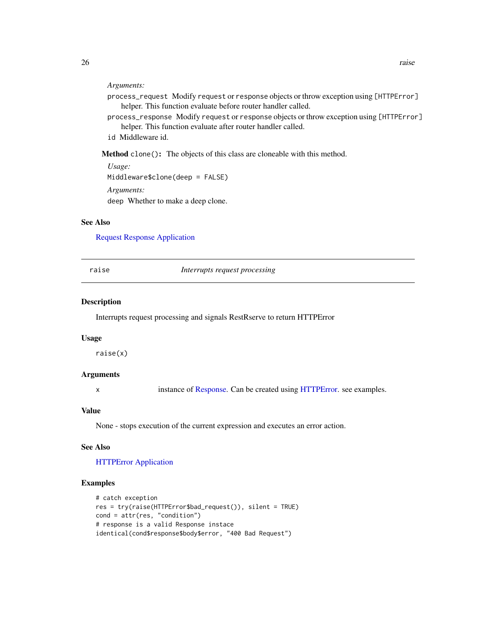#### <span id="page-25-0"></span>*Arguments:*

- process\_request Modify request or response objects or throw exception using [HTTPError] helper. This function evaluate before router handler called.
- process\_response Modify request or response objects or throw exception using [HTTPError] helper. This function evaluate after router handler called.
- id Middleware id.
- Method clone(): The objects of this class are cloneable with this method.

*Usage:* Middleware\$clone(deep = FALSE) *Arguments:*

deep Whether to make a deep clone.

#### See Also

[Request](#page-26-1) [Response](#page-30-1) [Application](#page-1-1)

#### raise *Interrupts request processing*

#### Description

Interrupts request processing and signals RestRserve to return HTTPError

#### Usage

raise(x)

# Arguments

x instance of [Response.](#page-30-1) Can be created using [HTTPError.](#page-0-0) see examples.

# Value

None - stops execution of the current expression and executes an error action.

# See Also

# [HTTPError](#page-0-0) [Application](#page-1-1)

#### Examples

```
# catch exception
res = try(raise(HTTPError$bad_request()), silent = TRUE)
cond = attr(res, "condition")
# response is a valid Response instace
identical(cond$response$body$error, "400 Bad Request")
```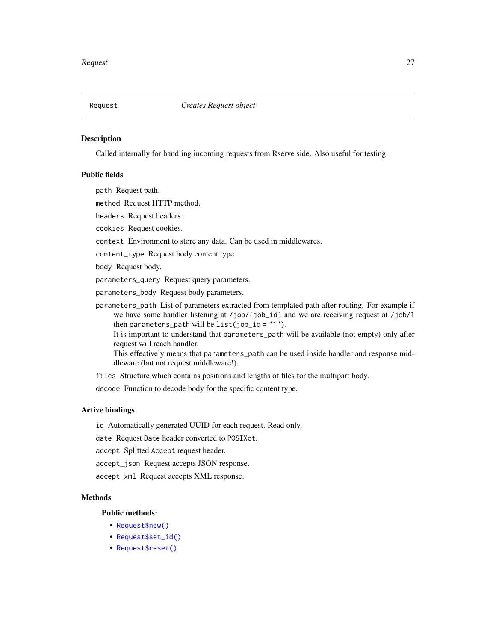<span id="page-26-1"></span><span id="page-26-0"></span>

#### Description

Called internally for handling incoming requests from Rserve side. Also useful for testing.

#### Public fields

path Request path.

method Request HTTP method.

headers Request headers.

cookies Request cookies.

context Environment to store any data. Can be used in middlewares.

content\_type Request body content type.

body Request body.

parameters\_query Request query parameters.

parameters\_body Request body parameters.

parameters\_path List of parameters extracted from templated path after routing. For example if we have some handler listening at /job/{job\_id} and we are receiving request at /job/1 then parameters\_path will be  $list(job_id = "1")$ .

It is important to understand that parameters\_path will be available (not empty) only after request will reach handler.

This effectively means that parameters\_path can be used inside handler and response middleware (but not request middleware!).

files Structure which contains positions and lengths of files for the multipart body.

decode Function to decode body for the specific content type.

#### Active bindings

id Automatically generated UUID for each request. Read only.

date Request Date header converted to POSIXct.

accept Splitted Accept request header.

accept\_json Request accepts JSON response.

accept\_xml Request accepts XML response.

#### Methods

#### Public methods:

- [Request\\$new\(\)](#page-2-0)
- [Request\\$set\\_id\(\)](#page-27-0)
- [Request\\$reset\(\)](#page-27-1)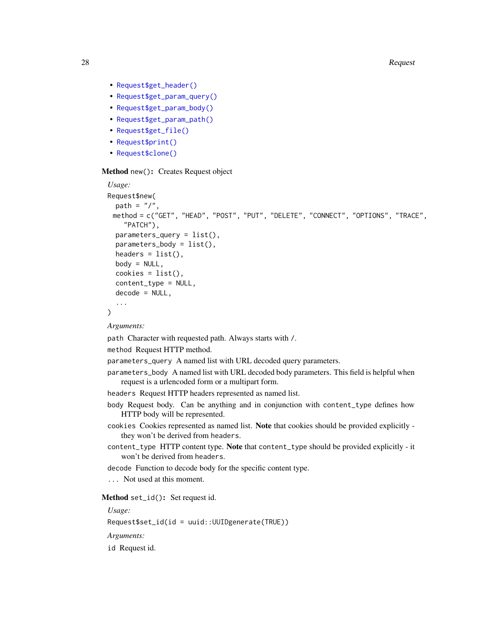28 Request and the contract of the contract of the contract of the contract of the contract of the contract of the contract of the contract of the contract of the contract of the contract of the contract of the contract of

- [Request\\$get\\_header\(\)](#page-28-0)
- [Request\\$get\\_param\\_query\(\)](#page-28-1)
- [Request\\$get\\_param\\_body\(\)](#page-28-2)
- [Request\\$get\\_param\\_path\(\)](#page-28-3)
- [Request\\$get\\_file\(\)](#page-28-4)
- [Request\\$print\(\)](#page-5-2)
- [Request\\$clone\(\)](#page-5-3)

#### Method new(): Creates Request object

```
Usage:
Request$new(
 path = "/",
 method = c("GET", "HEAD", "POST", "PUT", "DELETE", "CONNECT", "OPTIONS", "TRACE",
    "PATCH"),
 parameters_query = list(),
 parameters_body = list(),
 headers = list(),
 body = NULL,
 cookies = list(),content_type = NULL,
 decode = NULL,...
)
```
*Arguments:*

path Character with requested path. Always starts with /.

method Request HTTP method.

parameters\_query A named list with URL decoded query parameters.

- parameters\_body A named list with URL decoded body parameters. This field is helpful when request is a urlencoded form or a multipart form.
- headers Request HTTP headers represented as named list.

body Request body. Can be anything and in conjunction with content\_type defines how HTTP body will be represented.

- cookies Cookies represented as named list. Note that cookies should be provided explicitly they won't be derived from headers.
- content\_type HTTP content type. Note that content\_type should be provided explicitly it won't be derived from headers.

decode Function to decode body for the specific content type.

... Not used at this moment.

# <span id="page-27-0"></span>Method set\_id(): Set request id.

*Usage:*

Request\$set\_id(id = uuid::UUIDgenerate(TRUE))

*Arguments:*

<span id="page-27-1"></span>id Request id.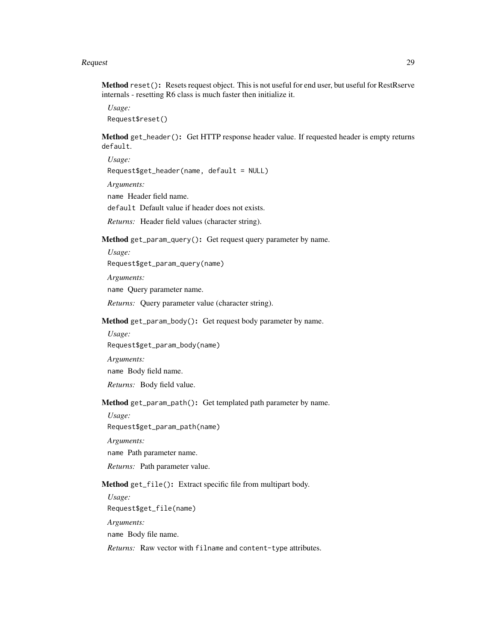#### Request 29

Method reset(): Resets request object. This is not useful for end user, but useful for RestRserve internals - resetting R6 class is much faster then initialize it.

```
Usage:
Request$reset()
```
<span id="page-28-0"></span>Method get\_header(): Get HTTP response header value. If requested header is empty returns default.

*Usage:* Request\$get\_header(name, default = NULL) *Arguments:*

name Header field name. default Default value if header does not exists.

*Returns:* Header field values (character string).

# <span id="page-28-1"></span>Method get\_param\_query(): Get request query parameter by name.

*Usage:* Request\$get\_param\_query(name) *Arguments:* name Query parameter name. *Returns:* Query parameter value (character string).

# <span id="page-28-2"></span>Method get\_param\_body(): Get request body parameter by name.

*Usage:* Request\$get\_param\_body(name) *Arguments:* name Body field name. *Returns:* Body field value.

#### <span id="page-28-3"></span>Method get\_param\_path(): Get templated path parameter by name.

*Usage:* Request\$get\_param\_path(name)

*Arguments:*

name Path parameter name.

*Returns:* Path parameter value.

# <span id="page-28-4"></span>Method get\_file(): Extract specific file from multipart body.

*Usage:*

Request\$get\_file(name)

*Arguments:*

name Body file name.

*Returns:* Raw vector with filname and content-type attributes.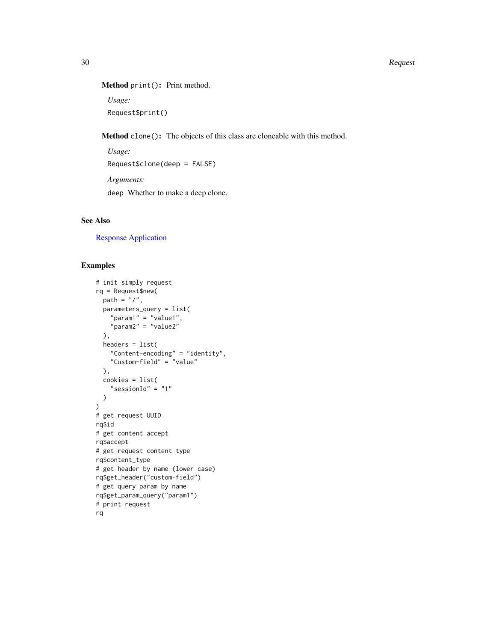# <span id="page-29-0"></span>Method print(): Print method.

*Usage:*

Request\$print()

Method clone(): The objects of this class are cloneable with this method.

```
Usage:
Request$clone(deep = FALSE)
Arguments:
deep Whether to make a deep clone.
```
# See Also

[Response](#page-30-1) [Application](#page-1-1)

# Examples

```
# init simply request
rq = Request$new(
 path = "1",parameters_query = list(
   "param1" = "value1",
   "param2" = "value2"
  ),
  headers = list("Content-encoding" = "identity",
    "Custom-field" = "value"
  ),
  cookies = list(
    "sessionId" = "1"
  )
)
# get request UUID
rq$id
# get content accept
rq$accept
# get request content type
rq$content_type
# get header by name (lower case)
rq$get_header("custom-field")
# get query param by name
rq$get_param_query("param1")
# print request
rq
```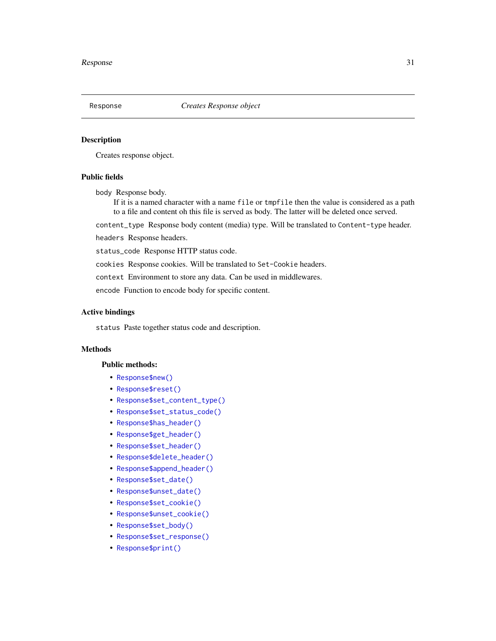<span id="page-30-1"></span><span id="page-30-0"></span>

#### Description

Creates response object.

# Public fields

body Response body.

If it is a named character with a name file or tmpfile then the value is considered as a path to a file and content oh this file is served as body. The latter will be deleted once served.

content\_type Response body content (media) type. Will be translated to Content-type header.

headers Response headers.

status\_code Response HTTP status code.

cookies Response cookies. Will be translated to Set-Cookie headers.

context Environment to store any data. Can be used in middlewares.

encode Function to encode body for specific content.

#### Active bindings

status Paste together status code and description.

# Methods

#### Public methods:

- [Response\\$new\(\)](#page-2-0)
- [Response\\$reset\(\)](#page-27-1)
- [Response\\$set\\_content\\_type\(\)](#page-31-0)
- [Response\\$set\\_status\\_code\(\)](#page-31-1)
- [Response\\$has\\_header\(\)](#page-31-2)
- [Response\\$get\\_header\(\)](#page-28-0)
- [Response\\$set\\_header\(\)](#page-32-0)
- [Response\\$delete\\_header\(\)](#page-32-1)
- [Response\\$append\\_header\(\)](#page-32-2)
- [Response\\$set\\_date\(\)](#page-32-3)
- [Response\\$unset\\_date\(\)](#page-32-4)
- [Response\\$set\\_cookie\(\)](#page-32-5)
- [Response\\$unset\\_cookie\(\)](#page-33-0)
- [Response\\$set\\_body\(\)](#page-33-1)
- [Response\\$set\\_response\(\)](#page-33-2)
- [Response\\$print\(\)](#page-5-2)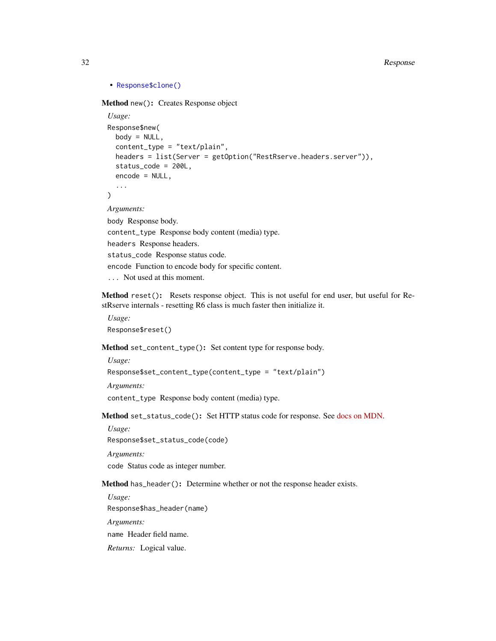```
• Response$clone()
```
Method new(): Creates Response object

```
Usage:
Response$new(
  body = NULL,content_type = "text/plain",
  headers = list(Server = getOption("RestRserve.headers.server")),
  status_code = 200L,
  encode = NULL,
  ...
)
Arguments:
body Response body.
content_type Response body content (media) type.
headers Response headers.
status_code Response status code.
encode Function to encode body for specific content.
```
... Not used at this moment.

Method reset(): Resets response object. This is not useful for end user, but useful for RestRserve internals - resetting R6 class is much faster then initialize it.

```
Usage:
Response$reset()
```
<span id="page-31-0"></span>Method set\_content\_type(): Set content type for response body.

*Usage:*

```
Response$set_content_type(content_type = "text/plain")
```
*Arguments:*

content\_type Response body content (media) type.

<span id="page-31-1"></span>Method set\_status\_code(): Set HTTP status code for response. See [docs on MDN.](https://developer.mozilla.org/en-US/docs/Web/HTTP/Status)

*Usage:*

Response\$set\_status\_code(code)

*Arguments:*

code Status code as integer number.

<span id="page-31-2"></span>Method has\_header(): Determine whether or not the response header exists.

*Usage:*

Response\$has\_header(name)

*Arguments:*

name Header field name.

*Returns:* Logical value.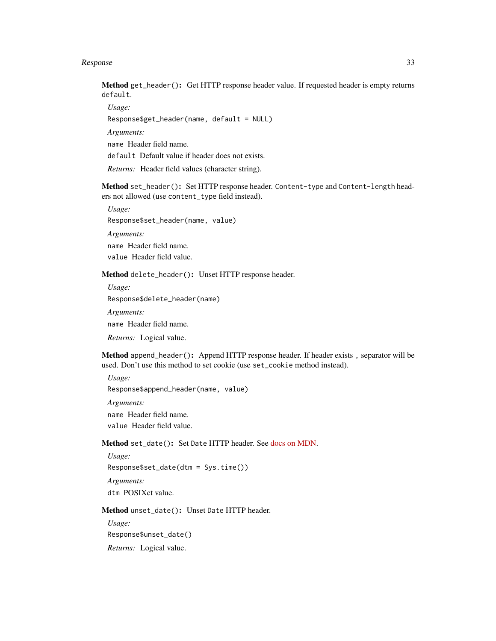#### Response 33

Method get\_header(): Get HTTP response header value. If requested header is empty returns default.

*Usage:*

Response\$get\_header(name, default = NULL)

*Arguments:*

name Header field name.

default Default value if header does not exists.

*Returns:* Header field values (character string).

<span id="page-32-0"></span>Method set\_header(): Set HTTP response header. Content-type and Content-length headers not allowed (use content\_type field instead).

*Usage:*

Response\$set\_header(name, value)

*Arguments:* name Header field name. value Header field value.

<span id="page-32-1"></span>Method delete\_header(): Unset HTTP response header.

*Usage:*

Response\$delete\_header(name)

*Arguments:*

name Header field name.

*Returns:* Logical value.

<span id="page-32-2"></span>Method append\_header(): Append HTTP response header. If header exists , separator will be used. Don't use this method to set cookie (use set\_cookie method instead).

*Usage:*

Response\$append\_header(name, value)

*Arguments:*

name Header field name.

value Header field value.

<span id="page-32-3"></span>Method set\_date(): Set Date HTTP header. See [docs on MDN.](https://developer.mozilla.org/en-US/docs/Web/HTTP/Headers/Date)

*Usage:* Response\$set\_date(dtm = Sys.time()) *Arguments:*

dtm POSIXct value.

<span id="page-32-4"></span>Method unset\_date(): Unset Date HTTP header.

<span id="page-32-5"></span>*Usage:* Response\$unset\_date() *Returns:* Logical value.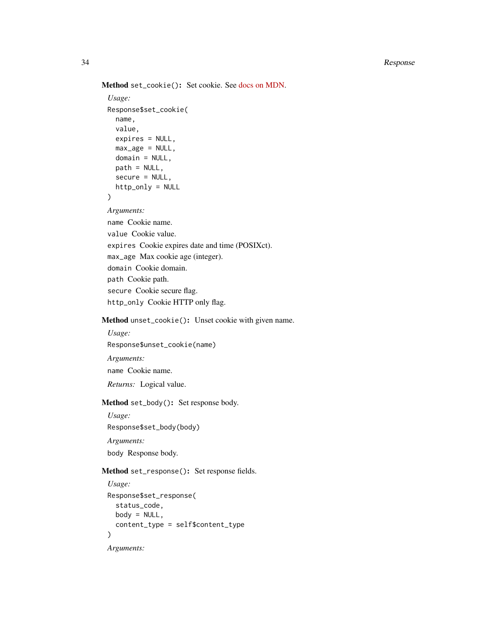Method set\_cookie(): Set cookie. See [docs on MDN.](https://developer.mozilla.org/en-US/docs/Web/HTTP/Headers/Set-Cookie)

```
Usage:
Response$set_cookie(
  name,
  value,
  expires = NULL,
  max_age = NULL,
  domain = NULL,path = NULL,
  secure = NULL,
  http_only = NULL
)
Arguments:
name Cookie name.
value Cookie value.
expires Cookie expires date and time (POSIXct).
max_age Max cookie age (integer).
domain Cookie domain.
path Cookie path.
secure Cookie secure flag.
http_only Cookie HTTP only flag.
```
<span id="page-33-0"></span>Method unset\_cookie(): Unset cookie with given name.

*Usage:* Response\$unset\_cookie(name) *Arguments:* name Cookie name. *Returns:* Logical value.

<span id="page-33-1"></span>Method set\_body(): Set response body.

*Usage:* Response\$set\_body(body) *Arguments:*

body Response body.

<span id="page-33-2"></span>Method set\_response(): Set response fields.

```
Usage:
Response$set_response(
  status_code,
  body = NULL,
  content_type = self$content_type
\mathcal{L}Arguments:
```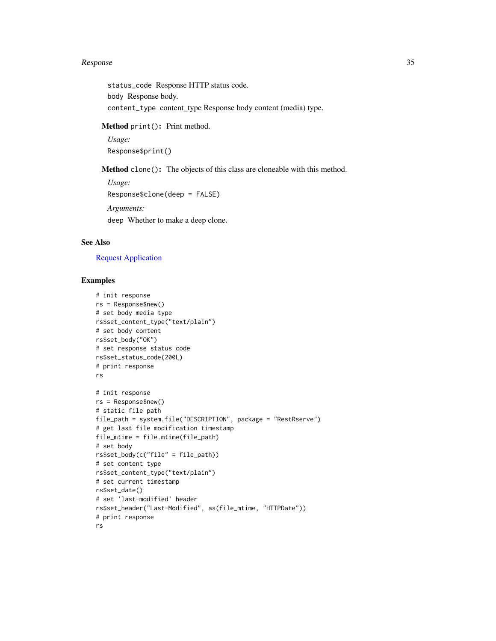#### <span id="page-34-0"></span>Response 35

status\_code Response HTTP status code. body Response body. content\_type content\_type Response body content (media) type.

Method print(): Print method.

*Usage:* Response\$print()

Method clone(): The objects of this class are cloneable with this method.

*Usage:*

Response\$clone(deep = FALSE)

*Arguments:*

deep Whether to make a deep clone.

# See Also

#### [Request](#page-26-1) [Application](#page-1-1)

# Examples

```
# init response
rs = Response$new()
# set body media type
rs$set_content_type("text/plain")
# set body content
rs$set_body("OK")
# set response status code
rs$set_status_code(200L)
# print response
rs
# init response
rs = Response$new()
# static file path
file_path = system.file("DESCRIPTION", package = "RestRserve")
# get last file modification timestamp
file_mtime = file.mtime(file_path)
# set body
rs$set_body(c("file" = file_path))
# set content type
rs$set_content_type("text/plain")
# set current timestamp
rs$set_date()
# set 'last-modified' header
rs$set_header("Last-Modified", as(file_mtime, "HTTPDate"))
# print response
rs
```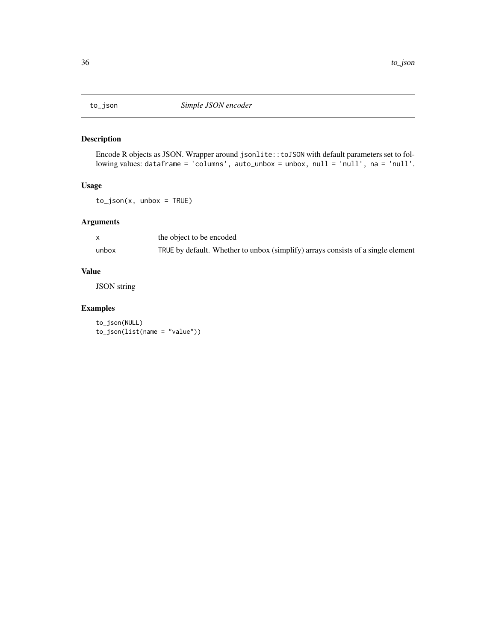<span id="page-35-0"></span>

# Description

Encode R objects as JSON. Wrapper around jsonlite::toJSON with default parameters set to following values: dataframe = 'columns', auto\_unbox = unbox, null = 'null', na = 'null'.

#### Usage

 $to_json(x, unbox = TRUE)$ 

# Arguments

|       | the object to be encoded                                                         |
|-------|----------------------------------------------------------------------------------|
| unbox | TRUE by default. Whether to unbox (simplify) arrays consists of a single element |

# Value

JSON string

# Examples

to\_json(NULL) to\_json(list(name = "value"))